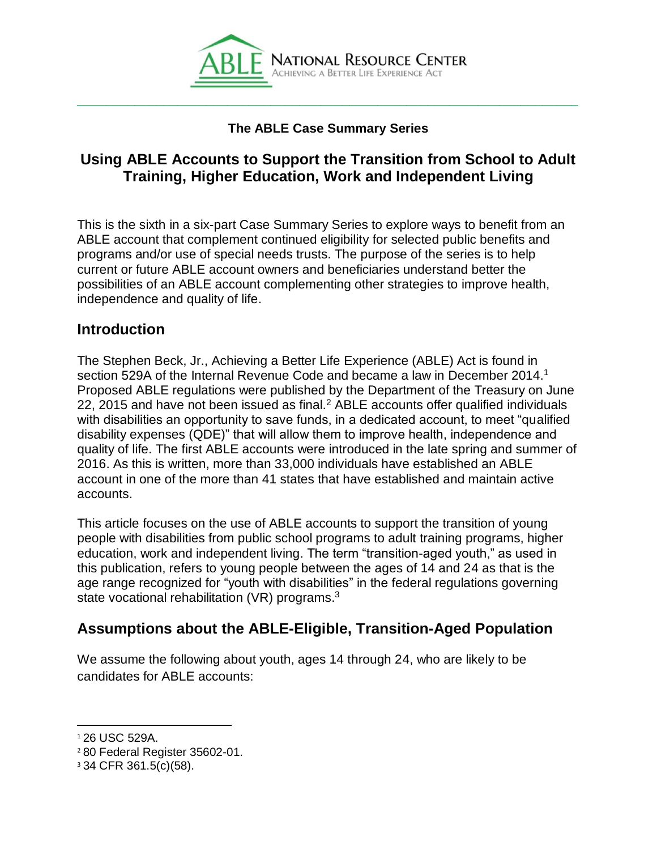

#### **The ABLE Case Summary Series**

# **Using ABLE Accounts to Support the Transition from School to Adult Training, Higher Education, Work and Independent Living**

This is the sixth in a six-part Case Summary Series to explore ways to benefit from an ABLE account that complement continued eligibility for selected public benefits and programs and/or use of special needs trusts. The purpose of the series is to help current or future ABLE account owners and beneficiaries understand better the possibilities of an ABLE account complementing other strategies to improve health, independence and quality of life.

#### **Introduction**

The Stephen Beck, Jr., Achieving a Better Life Experience (ABLE) Act is found in section 529A of the Internal Revenue Code and became a law in December 2014.<sup>1</sup> Proposed ABLE regulations were published by the Department of the Treasury on June 22, 2015 and have not been issued as final.<sup>2</sup> ABLE accounts offer qualified individuals with disabilities an opportunity to save funds, in a dedicated account, to meet "qualified disability expenses (QDE)" that will allow them to improve health, independence and quality of life. The first ABLE accounts were introduced in the late spring and summer of 2016. As this is written, more than 33,000 individuals have established an ABLE account in one of the more than 41 states that have established and maintain active accounts.

This article focuses on the use of ABLE accounts to support the transition of young people with disabilities from public school programs to adult training programs, higher education, work and independent living. The term "transition-aged youth," as used in this publication, refers to young people between the ages of 14 and 24 as that is the age range recognized for "youth with disabilities" in the federal regulations governing state vocational rehabilitation (VR) programs. $3$ 

## **Assumptions about the ABLE-Eligible, Transition-Aged Population**

We assume the following about youth, ages 14 through 24, who are likely to be candidates for ABLE accounts:

 $\overline{a}$ 

<sup>1</sup> 26 USC 529A.

<sup>2</sup> 80 Federal Register 35602-01.

<sup>3</sup> 34 CFR 361.5(c)(58).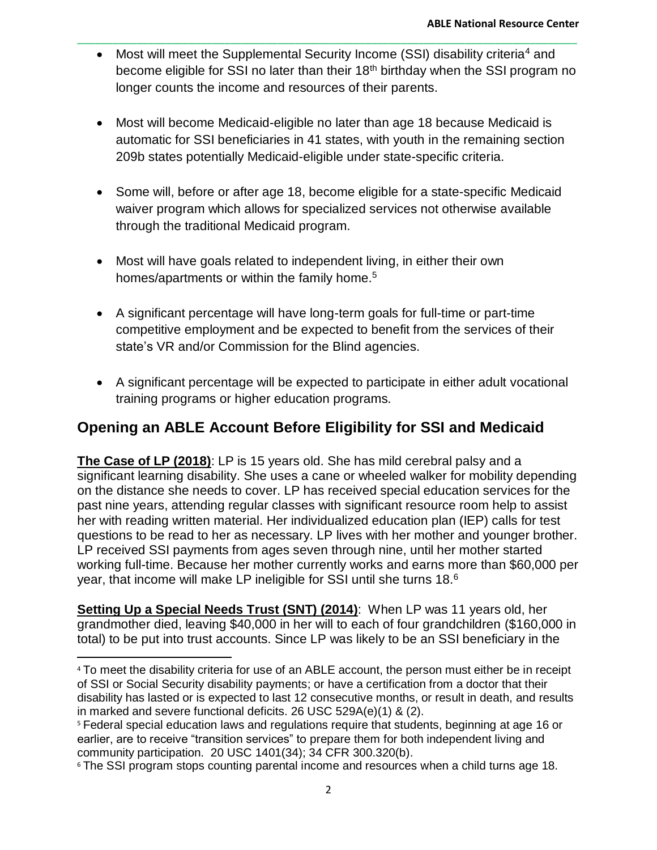Most will meet the Supplemental Security Income (SSI) disability criteria<sup>4</sup> and become eligible for SSI no later than their 18<sup>th</sup> birthday when the SSI program no longer counts the income and resources of their parents.

\_\_\_\_\_\_\_\_\_\_\_\_\_\_\_\_\_\_\_\_\_\_\_\_\_\_\_\_\_\_\_\_\_\_\_\_\_\_\_\_\_\_\_\_\_\_\_\_\_\_\_\_\_\_\_\_\_\_\_\_\_\_\_\_\_\_\_\_\_\_\_\_\_\_\_\_\_\_\_\_\_\_\_\_\_

- Most will become Medicaid-eligible no later than age 18 because Medicaid is automatic for SSI beneficiaries in 41 states, with youth in the remaining section 209b states potentially Medicaid-eligible under state-specific criteria.
- Some will, before or after age 18, become eligible for a state-specific Medicaid waiver program which allows for specialized services not otherwise available through the traditional Medicaid program.
- Most will have goals related to independent living, in either their own homes/apartments or within the family home.<sup>5</sup>
- A significant percentage will have long-term goals for full-time or part-time competitive employment and be expected to benefit from the services of their state's VR and/or Commission for the Blind agencies.
- A significant percentage will be expected to participate in either adult vocational training programs or higher education programs.

# **Opening an ABLE Account Before Eligibility for SSI and Medicaid**

**The Case of LP (2018)**: LP is 15 years old. She has mild cerebral palsy and a significant learning disability. She uses a cane or wheeled walker for mobility depending on the distance she needs to cover. LP has received special education services for the past nine years, attending regular classes with significant resource room help to assist her with reading written material. Her individualized education plan (IEP) calls for test questions to be read to her as necessary. LP lives with her mother and younger brother. LP received SSI payments from ages seven through nine, until her mother started working full-time. Because her mother currently works and earns more than \$60,000 per year, that income will make LP ineligible for SSI until she turns 18. $6$ 

**Setting Up a Special Needs Trust (SNT) (2014)**: When LP was 11 years old, her grandmother died, leaving \$40,000 in her will to each of four grandchildren (\$160,000 in total) to be put into trust accounts. Since LP was likely to be an SSI beneficiary in the

 $\overline{\phantom{0}}$ 

<sup>4</sup> To meet the disability criteria for use of an ABLE account, the person must either be in receipt of SSI or Social Security disability payments; or have a certification from a doctor that their disability has lasted or is expected to last 12 consecutive months, or result in death, and results in marked and severe functional deficits. 26 USC 529A(e)(1) & (2).

<sup>5</sup> Federal special education laws and regulations require that students, beginning at age 16 or earlier, are to receive "transition services" to prepare them for both independent living and community participation. 20 USC 1401(34); 34 CFR 300.320(b).

<sup>&</sup>lt;sup>6</sup> The SSI program stops counting parental income and resources when a child turns age 18.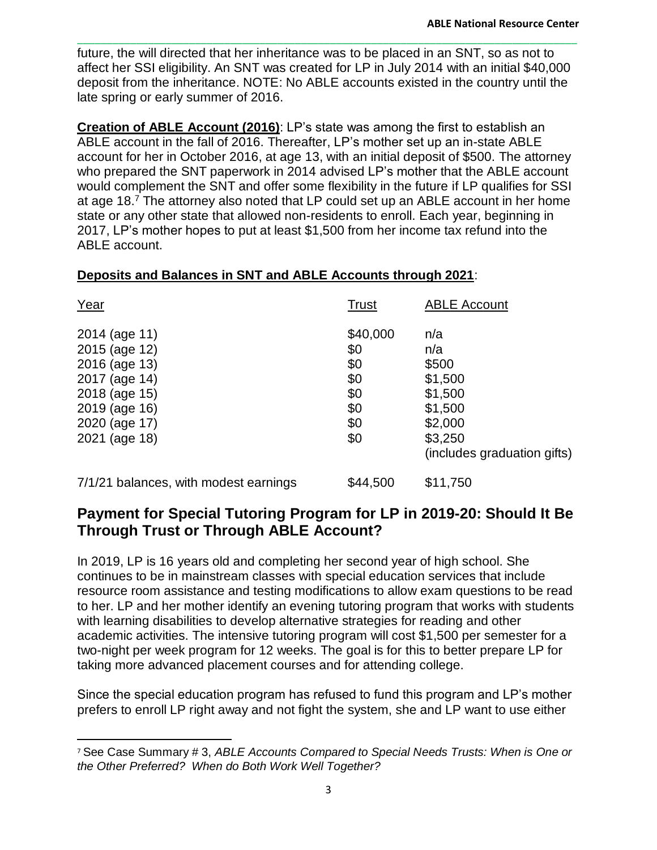future, the will directed that her inheritance was to be placed in an SNT, so as not to affect her SSI eligibility. An SNT was created for LP in July 2014 with an initial \$40,000 deposit from the inheritance. NOTE: No ABLE accounts existed in the country until the late spring or early summer of 2016.

\_\_\_\_\_\_\_\_\_\_\_\_\_\_\_\_\_\_\_\_\_\_\_\_\_\_\_\_\_\_\_\_\_\_\_\_\_\_\_\_\_\_\_\_\_\_\_\_\_\_\_\_\_\_\_\_\_\_\_\_\_\_\_\_\_\_\_\_\_\_\_\_\_\_\_\_\_\_\_\_\_\_\_\_\_

**Creation of ABLE Account (2016)**: LP's state was among the first to establish an ABLE account in the fall of 2016. Thereafter, LP's mother set up an in-state ABLE account for her in October 2016, at age 13, with an initial deposit of \$500. The attorney who prepared the SNT paperwork in 2014 advised LP's mother that the ABLE account would complement the SNT and offer some flexibility in the future if LP qualifies for SSI at age 18.<sup>7</sup> The attorney also noted that LP could set up an ABLE account in her home state or any other state that allowed non-residents to enroll. Each year, beginning in 2017, LP's mother hopes to put at least \$1,500 from her income tax refund into the ABLE account.

#### **Deposits and Balances in SNT and ABLE Accounts through 2021**:

| Year                                                                              | <b>Trust</b>                         | <b>ABLE Account</b>                                          |
|-----------------------------------------------------------------------------------|--------------------------------------|--------------------------------------------------------------|
| 2014 (age 11)<br>2015 (age 12)<br>2016 (age 13)<br>2017 (age 14)<br>2018 (age 15) | \$40,000<br>\$0<br>\$0<br>\$0<br>\$0 | n/a<br>n/a<br>\$500<br>\$1,500<br>\$1,500                    |
| 2019 (age 16)<br>2020 (age 17)<br>2021 (age 18)                                   | \$0<br>\$0<br>\$0                    | \$1,500<br>\$2,000<br>\$3,250<br>(includes graduation gifts) |
| 7/1/21 balances, with modest earnings                                             | \$44,500                             | \$11,750                                                     |

## **Payment for Special Tutoring Program for LP in 2019-20: Should It Be Through Trust or Through ABLE Account?**

In 2019, LP is 16 years old and completing her second year of high school. She continues to be in mainstream classes with special education services that include resource room assistance and testing modifications to allow exam questions to be read to her. LP and her mother identify an evening tutoring program that works with students with learning disabilities to develop alternative strategies for reading and other academic activities. The intensive tutoring program will cost \$1,500 per semester for a two-night per week program for 12 weeks. The goal is for this to better prepare LP for taking more advanced placement courses and for attending college.

Since the special education program has refused to fund this program and LP's mother prefers to enroll LP right away and not fight the system, she and LP want to use either

l

<sup>7</sup> See Case Summary # 3, *ABLE Accounts Compared to Special Needs Trusts: When is One or the Other Preferred? When do Both Work Well Together?*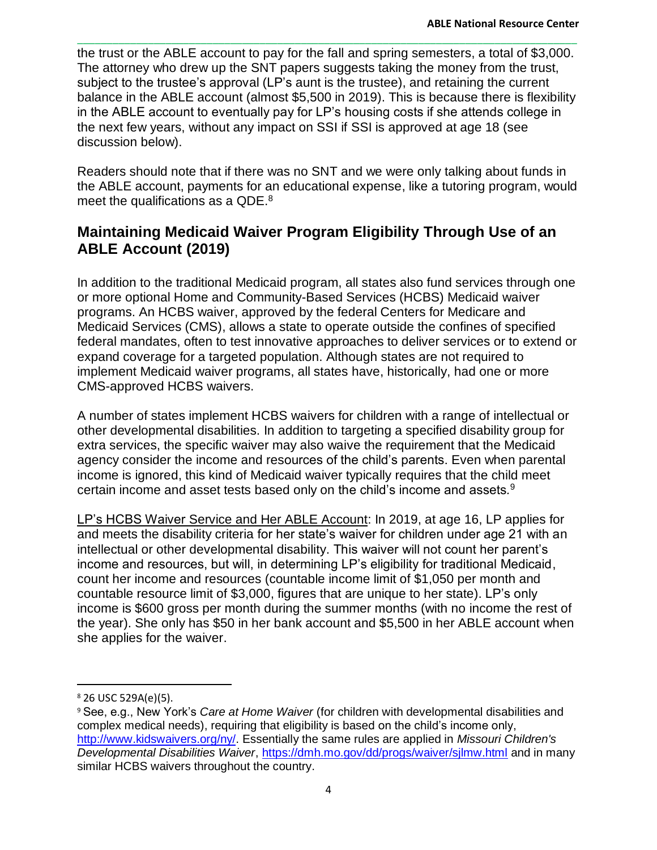the trust or the ABLE account to pay for the fall and spring semesters, a total of \$3,000. The attorney who drew up the SNT papers suggests taking the money from the trust, subject to the trustee's approval (LP's aunt is the trustee), and retaining the current balance in the ABLE account (almost \$5,500 in 2019). This is because there is flexibility in the ABLE account to eventually pay for LP's housing costs if she attends college in the next few years, without any impact on SSI if SSI is approved at age 18 (see discussion below).

\_\_\_\_\_\_\_\_\_\_\_\_\_\_\_\_\_\_\_\_\_\_\_\_\_\_\_\_\_\_\_\_\_\_\_\_\_\_\_\_\_\_\_\_\_\_\_\_\_\_\_\_\_\_\_\_\_\_\_\_\_\_\_\_\_\_\_\_\_\_\_\_\_\_\_\_\_\_\_\_\_\_\_\_\_

Readers should note that if there was no SNT and we were only talking about funds in the ABLE account, payments for an educational expense, like a tutoring program, would meet the qualifications as a QDE. $^8$ 

# **Maintaining Medicaid Waiver Program Eligibility Through Use of an ABLE Account (2019)**

In addition to the traditional Medicaid program, all states also fund services through one or more optional Home and Community-Based Services (HCBS) Medicaid waiver programs. An HCBS waiver, approved by the federal Centers for Medicare and Medicaid Services (CMS), allows a state to operate outside the confines of specified federal mandates, often to test innovative approaches to deliver services or to extend or expand coverage for a targeted population. Although states are not required to implement Medicaid waiver programs, all states have, historically, had one or more CMS-approved HCBS waivers.

A number of states implement HCBS waivers for children with a range of intellectual or other developmental disabilities. In addition to targeting a specified disability group for extra services, the specific waiver may also waive the requirement that the Medicaid agency consider the income and resources of the child's parents. Even when parental income is ignored, this kind of Medicaid waiver typically requires that the child meet certain income and asset tests based only on the child's income and assets*.* 9

LP's HCBS Waiver Service and Her ABLE Account: In 2019, at age 16, LP applies for and meets the disability criteria for her state's waiver for children under age 21 with an intellectual or other developmental disability. This waiver will not count her parent's income and resources, but will, in determining LP's eligibility for traditional Medicaid, count her income and resources (countable income limit of \$1,050 per month and countable resource limit of \$3,000, figures that are unique to her state). LP's only income is \$600 gross per month during the summer months (with no income the rest of the year). She only has \$50 in her bank account and \$5,500 in her ABLE account when she applies for the waiver.

l

<sup>8</sup> 26 USC 529A(e)(5).

<sup>9</sup> See, e.g., New York's *Care at Home Waiver* (for children with developmental disabilities and complex medical needs), requiring that eligibility is based on the child's income only, [http://www.kidswaivers.org/ny/.](http://www.kidswaivers.org/ny/) Essentially the same rules are applied in *Missouri Children's Developmental Disabilities Waiver*,<https://dmh.mo.gov/dd/progs/waiver/sjlmw.html> and in many similar HCBS waivers throughout the country.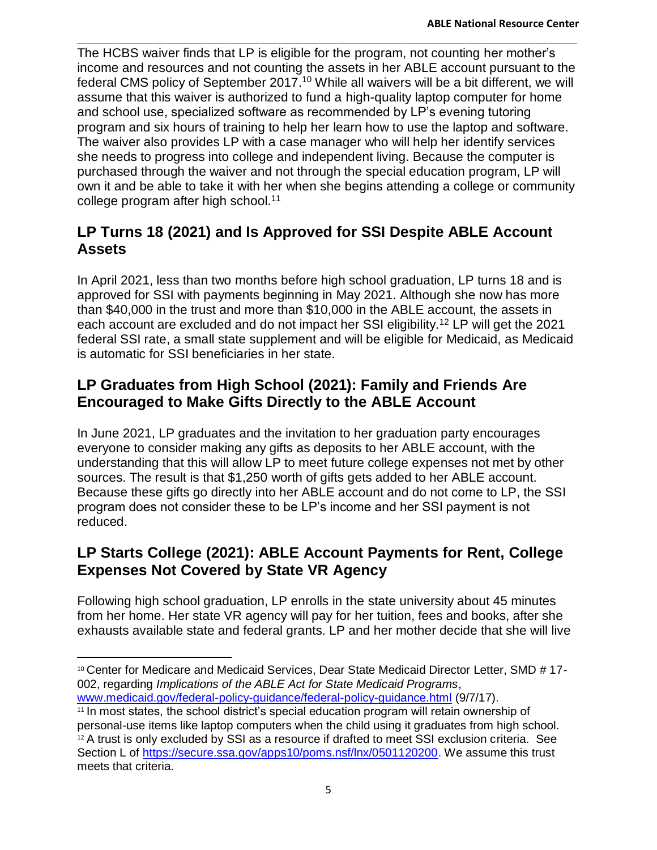\_\_\_\_\_\_\_\_\_\_\_\_\_\_\_\_\_\_\_\_\_\_\_\_\_\_\_\_\_\_\_\_\_\_\_\_\_\_\_\_\_\_\_\_\_\_\_\_\_\_\_\_\_\_\_\_\_\_\_\_\_\_\_\_\_\_\_\_\_\_\_\_\_\_\_\_\_\_\_\_\_\_\_\_\_ The HCBS waiver finds that LP is eligible for the program, not counting her mother's income and resources and not counting the assets in her ABLE account pursuant to the federal CMS policy of September 2017.<sup>10</sup> While all waivers will be a bit different, we will assume that this waiver is authorized to fund a high-quality laptop computer for home and school use, specialized software as recommended by LP's evening tutoring program and six hours of training to help her learn how to use the laptop and software. The waiver also provides LP with a case manager who will help her identify services she needs to progress into college and independent living. Because the computer is purchased through the waiver and not through the special education program, LP will own it and be able to take it with her when she begins attending a college or community college program after high school.<sup>11</sup>

# **LP Turns 18 (2021) and Is Approved for SSI Despite ABLE Account Assets**

In April 2021, less than two months before high school graduation, LP turns 18 and is approved for SSI with payments beginning in May 2021. Although she now has more than \$40,000 in the trust and more than \$10,000 in the ABLE account, the assets in each account are excluded and do not impact her SSI eligibility.<sup>12</sup> LP will get the 2021 federal SSI rate, a small state supplement and will be eligible for Medicaid, as Medicaid is automatic for SSI beneficiaries in her state.

# **LP Graduates from High School (2021): Family and Friends Are Encouraged to Make Gifts Directly to the ABLE Account**

In June 2021, LP graduates and the invitation to her graduation party encourages everyone to consider making any gifts as deposits to her ABLE account, with the understanding that this will allow LP to meet future college expenses not met by other sources. The result is that \$1,250 worth of gifts gets added to her ABLE account. Because these gifts go directly into her ABLE account and do not come to LP, the SSI program does not consider these to be LP's income and her SSI payment is not reduced.

# **LP Starts College (2021): ABLE Account Payments for Rent, College Expenses Not Covered by State VR Agency**

Following high school graduation, LP enrolls in the state university about 45 minutes from her home. Her state VR agency will pay for her tuition, fees and books, after she exhausts available state and federal grants. LP and her mother decide that she will live

<sup>10</sup> Center for Medicare and Medicaid Services, Dear State Medicaid Director Letter, SMD # 17-002, regarding *Implications of the ABLE Act for State Medicaid Programs*, [www.medicaid.gov/federal-policy-guidance/federal-policy-guidance.html](http://www.medicaid.gov/federal-policy-guidance/federal-policy-guidance.html) (9/7/17).

 $\overline{\phantom{0}}$ 

<sup>&</sup>lt;sup>11</sup> In most states, the school district's special education program will retain ownership of personal-use items like laptop computers when the child using it graduates from high school. <sup>12</sup> A trust is only excluded by SSI as a resource if drafted to meet SSI exclusion criteria. See Section L of [https://secure.ssa.gov/apps10/poms.nsf/lnx/0501120200.](https://secure.ssa.gov/apps10/poms.nsf/lnx/0501120200) We assume this trust meets that criteria.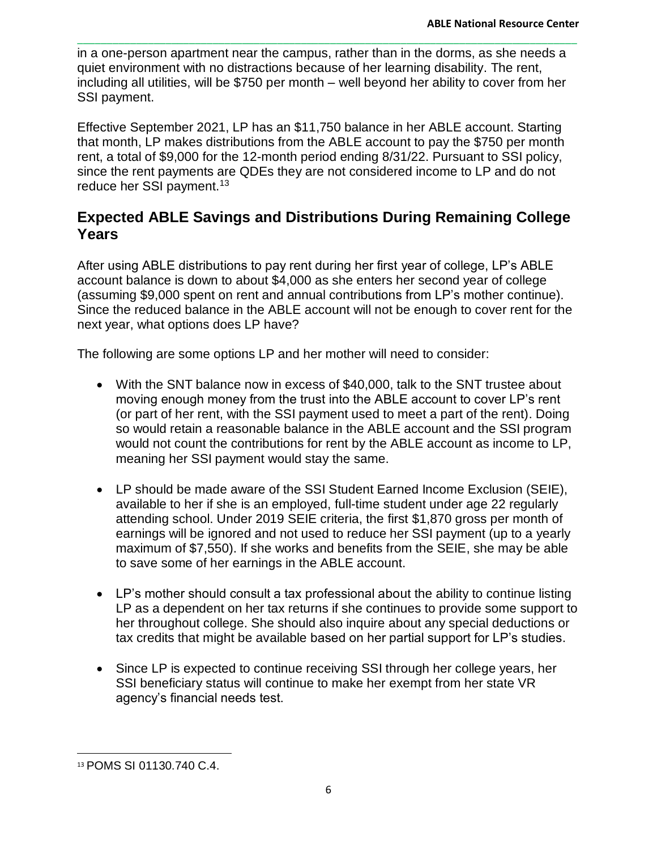in a one-person apartment near the campus, rather than in the dorms, as she needs a quiet environment with no distractions because of her learning disability. The rent, including all utilities, will be \$750 per month – well beyond her ability to cover from her SSI payment.

\_\_\_\_\_\_\_\_\_\_\_\_\_\_\_\_\_\_\_\_\_\_\_\_\_\_\_\_\_\_\_\_\_\_\_\_\_\_\_\_\_\_\_\_\_\_\_\_\_\_\_\_\_\_\_\_\_\_\_\_\_\_\_\_\_\_\_\_\_\_\_\_\_\_\_\_\_\_\_\_\_\_\_\_\_

Effective September 2021, LP has an \$11,750 balance in her ABLE account. Starting that month, LP makes distributions from the ABLE account to pay the \$750 per month rent, a total of \$9,000 for the 12-month period ending 8/31/22. Pursuant to SSI policy, since the rent payments are QDEs they are not considered income to LP and do not reduce her SSI payment.<sup>13</sup>

## **Expected ABLE Savings and Distributions During Remaining College Years**

After using ABLE distributions to pay rent during her first year of college, LP's ABLE account balance is down to about \$4,000 as she enters her second year of college (assuming \$9,000 spent on rent and annual contributions from LP's mother continue). Since the reduced balance in the ABLE account will not be enough to cover rent for the next year, what options does LP have?

The following are some options LP and her mother will need to consider:

- With the SNT balance now in excess of \$40,000, talk to the SNT trustee about moving enough money from the trust into the ABLE account to cover LP's rent (or part of her rent, with the SSI payment used to meet a part of the rent). Doing so would retain a reasonable balance in the ABLE account and the SSI program would not count the contributions for rent by the ABLE account as income to LP, meaning her SSI payment would stay the same.
- LP should be made aware of the SSI Student Earned Income Exclusion (SEIE), available to her if she is an employed, full-time student under age 22 regularly attending school. Under 2019 SEIE criteria, the first \$1,870 gross per month of earnings will be ignored and not used to reduce her SSI payment (up to a yearly maximum of \$7,550). If she works and benefits from the SEIE, she may be able to save some of her earnings in the ABLE account.
- LP's mother should consult a tax professional about the ability to continue listing LP as a dependent on her tax returns if she continues to provide some support to her throughout college. She should also inquire about any special deductions or tax credits that might be available based on her partial support for LP's studies.
- Since LP is expected to continue receiving SSI through her college years, her SSI beneficiary status will continue to make her exempt from her state VR agency's financial needs test.

l

<sup>13</sup> POMS SI 01130.740 C.4.